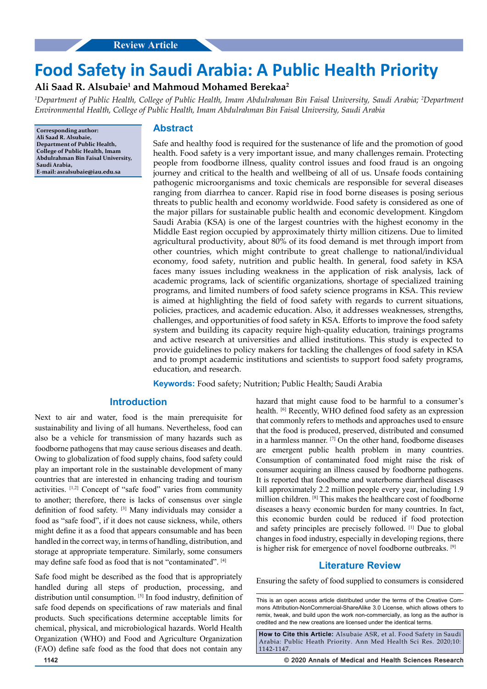# **Food Safety in Saudi Arabia: A Public Health Priority**

## **Ali Saad R. Alsubaie1 and Mahmoud Mohamed Berekaa2**

*1 Department of Public Health, College of Public Health, Imam Abdulrahman Bin Faisal University, Saudi Arabia; 2 Department Environmental Health, College of Public Health, Imam Abdulrahman Bin Faisal University, Saudi Arabia*

**Corresponding author: Ali Saad R. Alsubaie, Department of Public Health, College of Public Health, Imam Abdulrahman Bin Faisal University, Saudi Arabia, E-mail: asralsubaie@iau.edu.sa**

## **Abstract**

Safe and healthy food is required for the sustenance of life and the promotion of good health. Food safety is a very important issue, and many challenges remain. Protecting people from foodborne illness, quality control issues and food fraud is an ongoing journey and critical to the health and wellbeing of all of us. Unsafe foods containing pathogenic microorganisms and toxic chemicals are responsible for several diseases ranging from diarrhea to cancer. Rapid rise in food borne diseases is posing serious threats to public health and economy worldwide. Food safety is considered as one of the major pillars for sustainable public health and economic development. Kingdom Saudi Arabia (KSA) is one of the largest countries with the highest economy in the Middle East region occupied by approximately thirty million citizens. Due to limited agricultural productivity, about 80% of its food demand is met through import from other countries, which might contribute to great challenge to national/individual economy, food safety, nutrition and public health. In general, food safety in KSA faces many issues including weakness in the application of risk analysis, lack of academic programs, lack of scientific organizations, shortage of specialized training programs, and limited numbers of food safety science programs in KSA. This review is aimed at highlighting the field of food safety with regards to current situations, policies, practices, and academic education. Also, it addresses weaknesses, strengths, challenges, and opportunities of food safety in KSA. Efforts to improve the food safety system and building its capacity require high-quality education, trainings programs and active research at universities and allied institutions. This study is expected to provide guidelines to policy makers for tackling the challenges of food safety in KSA and to prompt academic institutions and scientists to support food safety programs, education, and research.

**Keywords:** Food safety; Nutrition; Public Health; Saudi Arabia

## **Introduction**

Next to air and water, food is the main prerequisite for sustainability and living of all humans. Nevertheless, food can also be a vehicle for transmission of many hazards such as foodborne pathogens that may cause serious diseases and death. Owing to globalization of food supply chains, food safety could play an important role in the sustainable development of many countries that are interested in enhancing trading and tourism activities. [1,2] Concept of "safe food" varies from community to another; therefore, there is lacks of consensus over single definition of food safety. [3] Many individuals may consider a food as "safe food", if it does not cause sickness, while, others might define it as a food that appears consumable and has been handled in the correct way, in terms of handling, distribution, and storage at appropriate temperature. Similarly, some consumers may define safe food as food that is not "contaminated". [4]

Safe food might be described as the food that is appropriately handled during all steps of production, processing, and distribution until consumption. [5] In food industry, definition of safe food depends on specifications of raw materials and final products. Such specifications determine acceptable limits for chemical, physical, and microbiological hazards. World Health Organization (WHO) and Food and Agriculture Organization (FAO) define safe food as the food that does not contain any

hazard that might cause food to be harmful to a consumer's health. <sup>[6]</sup> Recently, WHO defined food safety as an expression that commonly refers to methods and approaches used to ensure that the food is produced, preserved, distributed and consumed in a harmless manner. [7] On the other hand, foodborne diseases are emergent public health problem in many countries. Consumption of contaminated food might raise the risk of consumer acquiring an illness caused by foodborne pathogens. It is reported that foodborne and waterborne diarrheal diseases kill approximately 2.2 million people every year, including 1.9 million children. [8] This makes the healthcare cost of foodborne diseases a heavy economic burden for many countries. In fact, this economic burden could be reduced if food protection and safety principles are precisely followed. [1] Due to global changes in food industry, especially in developing regions, there is higher risk for emergence of novel foodborne outbreaks. [9]

## **Literature Review**

Ensuring the safety of food supplied to consumers is considered

**How to Cite this Article:** Alsubaie ASR, et al. Food Safety in Saudi Arabia: Public Heath Priority. Ann Med Health Sci Res. 2020;10: 1142-1147.

**1142 © 2020 Annals of Medical and Health Sciences Research** 

This is an open access article distributed under the terms of the Creative Commons Attribution-NonCommercial-ShareAlike 3.0 License, which allows others to remix, tweak, and build upon the work non‑commercially, as long as the author is credited and the new creations are licensed under the identical terms.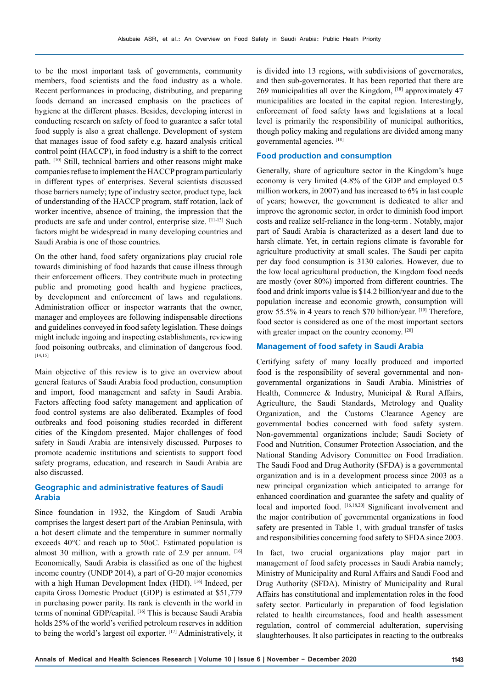to be the most important task of governments, community members, food scientists and the food industry as a whole. Recent performances in producing, distributing, and preparing foods demand an increased emphasis on the practices of hygiene at the different phases. Besides, developing interest in conducting research on safety of food to guarantee a safer total food supply is also a great challenge. Development of system that manages issue of food safety e.g. hazard analysis critical control point (HACCP), in food industry is a shift to the correct path. [10] Still, technical barriers and other reasons might make companies refuse to implement the HACCP program particularly in different types of enterprises. Several scientists discussed those barriers namely; type of industry sector, product type, lack of understanding of the HACCP program, staff rotation, lack of worker incentive, absence of training, the impression that the products are safe and under control, enterprise size. [11-13] Such factors might be widespread in many developing countries and Saudi Arabia is one of those countries.

On the other hand, food safety organizations play crucial role towards diminishing of food hazards that cause illness through their enforcement officers. They contribute much in protecting public and promoting good health and hygiene practices, by development and enforcement of laws and regulations. Administration officer or inspector warrants that the owner, manager and employees are following indispensable directions and guidelines conveyed in food safety legislation. These doings might include ingoing and inspecting establishments, reviewing food poisoning outbreaks, and elimination of dangerous food. [14,15]

Main objective of this review is to give an overview about general features of Saudi Arabia food production, consumption and import, food management and safety in Saudi Arabia. Factors affecting food safety management and application of food control systems are also deliberated. Examples of food outbreaks and food poisoning studies recorded in different cities of the Kingdom presented. Major challenges of food safety in Saudi Arabia are intensively discussed. Purposes to promote academic institutions and scientists to support food safety programs, education, and research in Saudi Arabia are also discussed.

## **Geographic and administrative features of Saudi Arabia**

Since foundation in 1932, the Kingdom of Saudi Arabia comprises the largest desert part of the Arabian Peninsula, with a hot desert climate and the temperature in summer normally exceeds 40°C and reach up to 50oC. Estimated population is almost 30 million, with a growth rate of 2.9 per annum.  $[16]$ Economically, Saudi Arabia is classified as one of the highest income country (UNDP 2014), a part of G-20 major economies with a high Human Development Index (HDI). [16] Indeed, per capita Gross Domestic Product (GDP) is estimated at \$51,779 in purchasing power parity. Its rank is eleventh in the world in terms of nominal GDP/capital. [16] This is because Saudi Arabia holds 25% of the world's verified petroleum reserves in addition to being the world's largest oil exporter. [17] Administratively, it is divided into 13 regions, with subdivisions of governorates, and then sub-governorates. It has been reported that there are 269 municipalities all over the Kingdom, [18] approximately 47 municipalities are located in the capital region. Interestingly, enforcement of food safety laws and legislations at a local level is primarily the responsibility of municipal authorities, though policy making and regulations are divided among many governmental agencies. [18]

#### **Food production and consumption**

Generally, share of agriculture sector in the Kingdom's huge economy is very limited (4.8% of the GDP and employed 0.5 million workers, in 2007) and has increased to 6% in last couple of years; however, the government is dedicated to alter and improve the agronomic sector, in order to diminish food import costs and realize self-reliance in the long-term . Notably, major part of Saudi Arabia is characterized as a desert land due to harsh climate. Yet, in certain regions climate is favorable for agriculture productivity at small scales. The Saudi per capita per day food consumption is 3130 calories. However, due to the low local agricultural production, the Kingdom food needs are mostly (over 80%) imported from different countries. The food and drink imports value is \$14.2 billion/year and due to the population increase and economic growth, consumption will grow 55.5% in 4 years to reach \$70 billion/year. [19] Therefore, food sector is considered as one of the most important sectors with greater impact on the country economy. [20]

#### **Management of food safety in Saudi Arabia**

Certifying safety of many locally produced and imported food is the responsibility of several governmental and nongovernmental organizations in Saudi Arabia. Ministries of Health, Commerce & Industry, Municipal & Rural Affairs, Agriculture, the Saudi Standards, Metrology and Quality Organization, and the Customs Clearance Agency are governmental bodies concerned with food safety system. Non-governmental organizations include; Saudi Society of Food and Nutrition, Consumer Protection Association, and the National Standing Advisory Committee on Food Irradiation. The Saudi Food and Drug Authority (SFDA) is a governmental organization and is in a development process since 2003 as a new principal organization which anticipated to arrange for enhanced coordination and guarantee the safety and quality of local and imported food. [16,18,20] Significant involvement and the major contribution of governmental organizations in food safety are presented in Table 1, with gradual transfer of tasks and responsibilities concerning food safety to SFDA since 2003.

In fact, two crucial organizations play major part in management of food safety processes in Saudi Arabia namely; Ministry of Municipality and Rural Affairs and Saudi Food and Drug Authority (SFDA). Ministry of Municipality and Rural Affairs has constitutional and implementation roles in the food safety sector. Particularly in preparation of food legislation related to health circumstances, food and health assessment regulation, control of commercial adulteration, supervising slaughterhouses. It also participates in reacting to the outbreaks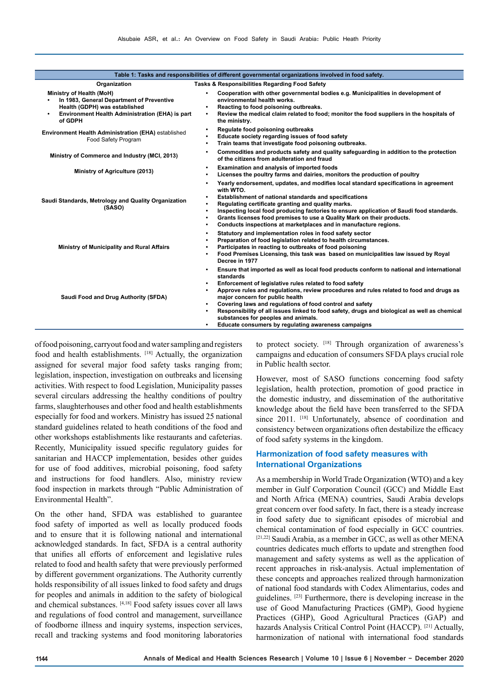| Table 1: Tasks and responsibilities of different governmental organizations involved in food safety.                                                                 |                                                                                                                                                                                                                                                                                                                                                                                                                                                                                                                                                                        |  |
|----------------------------------------------------------------------------------------------------------------------------------------------------------------------|------------------------------------------------------------------------------------------------------------------------------------------------------------------------------------------------------------------------------------------------------------------------------------------------------------------------------------------------------------------------------------------------------------------------------------------------------------------------------------------------------------------------------------------------------------------------|--|
| Tasks & Responsibilities Regarding Food Safety<br>Organization                                                                                                       |                                                                                                                                                                                                                                                                                                                                                                                                                                                                                                                                                                        |  |
| Ministry of Health (MoH)<br>In 1983, General Department of Preventive<br>Health (GDPH) was established<br>Environment Health Administration (EHA) is part<br>of GDPH | Cooperation with other governmental bodies e.g. Municipalities in development of<br>environmental health works.<br>Reacting to food poisoning outbreaks.<br>Review the medical claim related to food; monitor the food suppliers in the hospitals of<br>the ministry.                                                                                                                                                                                                                                                                                                  |  |
| <b>Environment Health Administration (EHA)</b> established<br>Food Safety Program                                                                                    | Regulate food poisoning outbreaks<br>Educate society regarding issues of food safety<br>Train teams that investigate food poisoning outbreaks.<br>$\bullet$                                                                                                                                                                                                                                                                                                                                                                                                            |  |
| Ministry of Commerce and Industry (MCI, 2013)                                                                                                                        | Commodities and products safety and quality safeguarding in addition to the protection<br>٠<br>of the citizens from adulteration and fraud                                                                                                                                                                                                                                                                                                                                                                                                                             |  |
| Ministry of Agriculture (2013)                                                                                                                                       | Examination and analysis of imported foods<br>$\bullet$<br>Licenses the poultry farms and dairies, monitors the production of poultry                                                                                                                                                                                                                                                                                                                                                                                                                                  |  |
| Saudi Standards, Metrology and Quality Organization<br>(SASO)                                                                                                        | Yearly endorsement, updates, and modifies local standard specifications in agreement<br>with WTO.<br>Establishment of national standards and specifications<br>$\bullet$<br>Regulating certificate granting and quality marks.<br>Inspecting local food producing factories to ensure application of Saudi food standards.<br>Grants licenses food premises to use a Quality Mark on their products.<br>Conducts inspections at marketplaces and in manufacture regions.<br>٠                                                                                          |  |
| Ministry of Municipality and Rural Affairs                                                                                                                           | Statutory and implementation roles in food safety sector<br>$\bullet$<br>Preparation of food legislation related to health circumstances.<br>Participates in reacting to outbreaks of food poisoning<br>Food Premises Licensing, this task was based on municipalities law issued by Royal<br>Decree in 1977                                                                                                                                                                                                                                                           |  |
| Saudi Food and Drug Authority (SFDA)                                                                                                                                 | Ensure that imported as well as local food products conform to national and international<br>standards<br>Enforcement of legislative rules related to food safety<br>$\bullet$<br>Approve rules and regulations, review procedures and rules related to food and drugs as<br>major concern for public health<br>Covering laws and regulations of food control and safety<br>Responsibility of all issues linked to food safety, drugs and biological as well as chemical<br>substances for peoples and animals.<br>Educate consumers by regulating awareness campaigns |  |

of food poisoning, carryout food and water sampling and registers food and health establishments. [18] Actually, the organization assigned for several major food safety tasks ranging from; legislation, inspection, investigation on outbreaks and licensing activities. With respect to food Legislation, Municipality passes several circulars addressing the healthy conditions of poultry farms, slaughterhouses and other food and health establishments especially for food and workers. Ministry has issued 25 national standard guidelines related to heath conditions of the food and other workshops establishments like restaurants and cafeterias. Recently, Municipality issued specific regulatory guides for sanitarian and HACCP implementation, besides other guides for use of food additives, microbial poisoning, food safety and instructions for food handlers. Also, ministry review food inspection in markets through "Public Administration of Environmental Health".

On the other hand, SFDA was established to guarantee food safety of imported as well as locally produced foods and to ensure that it is following national and international acknowledged standards. In fact, SFDA is a central authority that unifies all efforts of enforcement and legislative rules related to food and health safety that were previously performed by different government organizations. The Authority currently holds responsibility of all issues linked to food safety and drugs for peoples and animals in addition to the safety of biological and chemical substances. [4,18] Food safety issues cover all laws and regulations of food control and management, surveillance of foodborne illness and inquiry systems, inspection services, recall and tracking systems and food monitoring laboratories

to protect society. [18] Through organization of awareness's campaigns and education of consumers SFDA plays crucial role in Public health sector.

However, most of SASO functions concerning food safety legislation, health protection, promotion of good practice in the domestic industry, and dissemination of the authoritative knowledge about the field have been transferred to the SFDA since 2011. [18] Unfortunately, absence of coordination and consistency between organizations often destabilize the efficacy of food safety systems in the kingdom.

## **Harmonization of food safety measures with International Organizations**

As a membership in World Trade Organization (WTO) and a key member in Gulf Corporation Council (GCC) and Middle East and North Africa (MENA) countries, Saudi Arabia develops great concern over food safety. In fact, there is a steady increase in food safety due to significant episodes of microbial and chemical contamination of food especially in GCC countries. [21,22] Saudi Arabia, as a member in GCC, as well as other MENA countries dedicates much efforts to update and strengthen food management and safety systems as well as the application of recent approaches in risk-analysis. Actual implementation of these concepts and approaches realized through harmonization of national food standards with Codex Alimentarius, codes and guidelines. [23] Furthermore, there is developing increase in the use of Good Manufacturing Practices (GMP), Good hygiene Practices (GHP), Good Agricultural Practices (GAP) and hazards Analysis Critical Control Point (HACCP). [21] Actually, harmonization of national with international food standards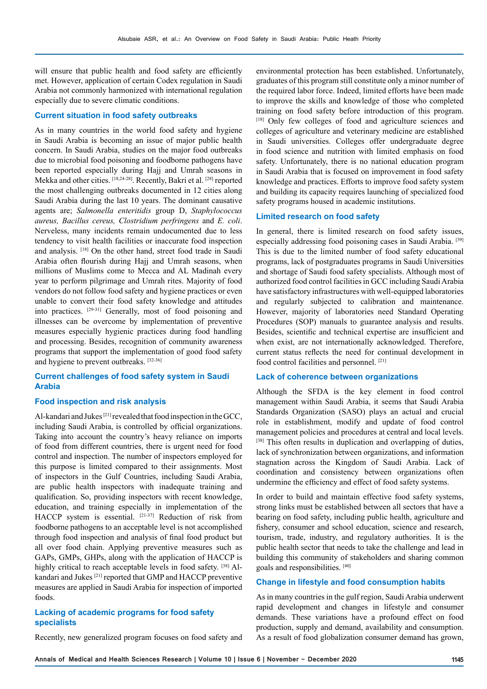will ensure that public health and food safety are efficiently met. However, application of certain Codex regulation in Saudi Arabia not commonly harmonized with international regulation especially due to severe climatic conditions.

#### **Current situation in food safety outbreaks**

As in many countries in the world food safety and hygiene in Saudi Arabia is becoming an issue of major public health concern. In Saudi Arabia, studies on the major food outbreaks due to microbial food poisoning and foodborne pathogens have been reported especially during Hajj and Umrah seasons in Mekka and other cities. [18,24-28]. Recently, Bakri et al. [28] reported the most challenging outbreaks documented in 12 cities along Saudi Arabia during the last 10 years. The dominant causative agents are; *Salmonella enteritidis* group D, *Staphylococcus aureus, Bacillus cereus, Clostridium perfringens* and *E. coli*. Nerveless, many incidents remain undocumented due to less tendency to visit health facilities or inaccurate food inspection and analysis. [18] On the other hand, street food trade in Saudi Arabia often flourish during Hajj and Umrah seasons, when millions of Muslims come to Mecca and AL Madinah every year to perform pilgrimage and Umrah rites. Majority of food vendors do not follow food safety and hygiene practices or even unable to convert their food safety knowledge and attitudes into practices. [29-31] Generally, most of food poisoning and illnesses can be overcome by implementation of preventive measures especially hygienic practices during food handling and processing. Besides, recognition of community awareness programs that support the implementation of good food safety and hygiene to prevent outbreaks. [32-36]

## **Current challenges of food safety system in Saudi Arabia**

#### **Food inspection and risk analysis**

Al-kandari and Jukes<sup>[21]</sup> revealed that food inspection in the GCC, including Saudi Arabia, is controlled by official organizations. Taking into account the country's heavy reliance on imports of food from different countries, there is urgent need for food control and inspection. The number of inspectors employed for this purpose is limited compared to their assignments. Most of inspectors in the Gulf Countries, including Saudi Arabia, are public health inspectors with inadequate training and qualification. So, providing inspectors with recent knowledge, education, and training especially in implementation of the HACCP system is essential. [21-37] Reduction of risk from foodborne pathogens to an acceptable level is not accomplished through food inspection and analysis of final food product but all over food chain. Applying preventive measures such as GAPs, GMPs, GHPs, along with the application of HACCP is highly critical to reach acceptable levels in food safety. [38] Alkandari and Jukes [21] reported that GMP and HACCP preventive measures are applied in Saudi Arabia for inspection of imported foods.

#### **Lacking of academic programs for food safety specialists**

Recently, new generalized program focuses on food safety and

environmental protection has been established. Unfortunately, graduates of this program still constitute only a minor number of the required labor force. Indeed, limited efforts have been made to improve the skills and knowledge of those who completed training on food safety before introduction of this program. [18] Only few colleges of food and agriculture sciences and colleges of agriculture and veterinary medicine are established in Saudi universities. Colleges offer undergraduate degree in food science and nutrition with limited emphasis on food safety. Unfortunately, there is no national education program in Saudi Arabia that is focused on improvement in food safety knowledge and practices. Efforts to improve food safety system and building its capacity requires launching of specialized food safety programs housed in academic institutions.

#### **Limited research on food safety**

In general, there is limited research on food safety issues, especially addressing food poisoning cases in Saudi Arabia. [39] This is due to the limited number of food safety educational programs, lack of postgraduates programs in Saudi Universities and shortage of Saudi food safety specialists. Although most of authorized food control facilities in GCC including Saudi Arabia have satisfactory infrastructures with well-equipped laboratories and regularly subjected to calibration and maintenance. However, majority of laboratories need Standard Operating Procedures (SOP) manuals to guarantee analysis and results. Besides, scientific and technical expertise are insufficient and when exist, are not internationally acknowledged. Therefore, current status reflects the need for continual development in food control facilities and personnel. [21]

#### **Lack of coherence between organizations**

Although the SFDA is the key element in food control management within Saudi Arabia, it seems that Saudi Arabia Standards Organization (SASO) plays an actual and crucial role in establishment, modify and update of food control management policies and procedures at central and local levels. [38] This often results in duplication and overlapping of duties, lack of synchronization between organizations, and information stagnation across the Kingdom of Saudi Arabia. Lack of coordination and consistency between organizations often undermine the efficiency and effect of food safety systems.

In order to build and maintain effective food safety systems, strong links must be established between all sectors that have a bearing on food safety, including public health, agriculture and fishery, consumer and school education, science and research, tourism, trade, industry, and regulatory authorities. It is the public health sector that needs to take the challenge and lead in building this community of stakeholders and sharing common goals and responsibilities. [40]

#### **Change in lifestyle and food consumption habits**

As in many countries in the gulf region, Saudi Arabia underwent rapid development and changes in lifestyle and consumer demands. These variations have a profound effect on food production, supply and demand, availability and consumption. As a result of food globalization consumer demand has grown,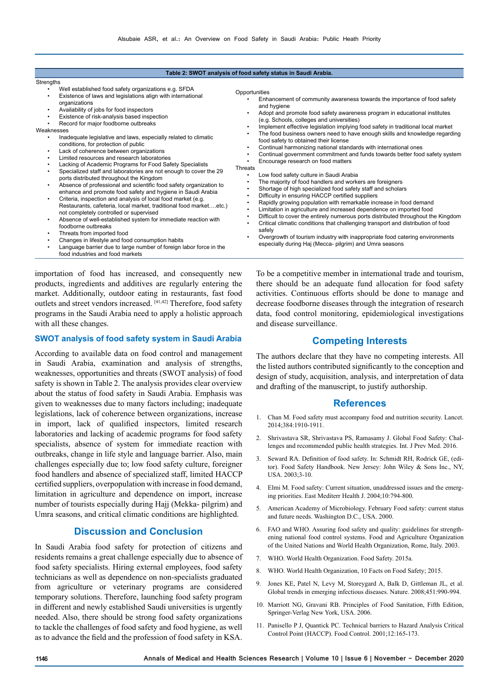| Table 2: SWOT analysis of food safety status in Saudi Arabia.                                                                                                                                                                                                                                                                                                                                                                                                                                                                                                                                                                                                                                                                                                                                                                                                                                                                                                                                                                                                                                                                                                                                                                                                                                                                                                                            |                                                                                                                                                                                                                                                                                                                                                                                                                                                                                                                                                                                                                                                                                                        |  |  |
|------------------------------------------------------------------------------------------------------------------------------------------------------------------------------------------------------------------------------------------------------------------------------------------------------------------------------------------------------------------------------------------------------------------------------------------------------------------------------------------------------------------------------------------------------------------------------------------------------------------------------------------------------------------------------------------------------------------------------------------------------------------------------------------------------------------------------------------------------------------------------------------------------------------------------------------------------------------------------------------------------------------------------------------------------------------------------------------------------------------------------------------------------------------------------------------------------------------------------------------------------------------------------------------------------------------------------------------------------------------------------------------|--------------------------------------------------------------------------------------------------------------------------------------------------------------------------------------------------------------------------------------------------------------------------------------------------------------------------------------------------------------------------------------------------------------------------------------------------------------------------------------------------------------------------------------------------------------------------------------------------------------------------------------------------------------------------------------------------------|--|--|
| Strengths<br>Well established food safety organizations e.g. SFDA<br>Existence of laws and legislations align with international<br>organizations<br>Availability of jobs for food inspectors<br>$\bullet$<br>Existence of risk-analysis based inspection<br>٠<br>Record for major foodborne outbreaks<br>Weaknesses<br>Inadequate legislative and laws, especially related to climatic<br>٠<br>conditions, for protection of public<br>Lack of coherence between organizations<br>$\bullet$<br>Limited resources and research laboratories<br>٠<br>Lacking of Academic Programs for Food Safety Specialists<br>٠<br>Specialized staff and laboratories are not enough to cover the 29<br>ports distributed throughout the Kingdom<br>Absence of professional and scientific food safety organization to<br>$\bullet$<br>enhance and promote food safety and hygiene in Saudi Arabia<br>Criteria, inspection and analysis of local food market (e.g.<br>$\bullet$<br>Restaurants, cafeteria, local market, traditional food marketetc.)<br>not completely controlled or supervised<br>Absence of well-established system for immediate reaction with<br>$\bullet$<br>foodborne outbreaks<br>Threats from imported food<br>٠<br>Changes in lifestyle and food consumption habits<br>$\bullet$<br>an an calculated and all responses to the complete and familiary to be a family to the a | Opportunities<br>Enhancement of community awareness towards the importance of food safety<br>and hygiene<br>Adopt and promote food safety awareness program in educational institutes<br>(e.g. Schools, colleges and universities)<br>Implement effective legislation implying food safety in traditional local market<br>The food business owners need to have enough skills and knowledge regarding<br>food safety to obtained their license<br>Continual harmonizing national standards with international ones<br>Continual government commitment and funds towards better food safety system<br>Encourage research on food matters<br>Threats                                                     |  |  |
|                                                                                                                                                                                                                                                                                                                                                                                                                                                                                                                                                                                                                                                                                                                                                                                                                                                                                                                                                                                                                                                                                                                                                                                                                                                                                                                                                                                          | Low food safety culture in Saudi Arabia<br>٠<br>The majority of food handlers and workers are foreigners<br>Shortage of high specialized food safety staff and scholars<br>Difficulty in ensuring HACCP certified suppliers<br>Rapidly growing population with remarkable increase in food demand<br>Limitation in agriculture and increased dependence on imported food<br>Difficult to cover the entirely numerous ports distributed throughout the Kingdom<br>Critical climatic conditions that challenging transport and distribution of food<br>safely<br>Overgrowth of tourism industry with inappropriate food catering environments<br>especially during Haj (Mecca- pilgrim) and Umra seasons |  |  |

- Changes in lifestyle and food consumption habits Language barrier due to large number of foreign labor force in the
- food industries and food markets

importation of food has increased, and consequently new products, ingredients and additives are regularly entering the market. Additionally, outdoor eating in restaurants, fast food outlets and street vendors increased. [41,42] Therefore, food safety programs in the Saudi Arabia need to apply a holistic approach with all these changes.

#### **SWOT analysis of food safety system in Saudi Arabia**

According to available data on food control and management in Saudi Arabia, examination and analysis of strengths, weaknesses, opportunities and threats (SWOT analysis) of food safety is shown in Table 2. The analysis provides clear overview about the status of food safety in Saudi Arabia. Emphasis was given to weaknesses due to many factors including; inadequate legislations, lack of coherence between organizations, increase in import, lack of qualified inspectors, limited research laboratories and lacking of academic programs for food safety specialists, absence of system for immediate reaction with outbreaks, change in life style and language barrier. Also, main challenges especially due to; low food safety culture, foreigner food handlers and absence of specialized staff, limited HACCP certified suppliers, overpopulation with increase in food demand, limitation in agriculture and dependence on import, increase number of tourists especially during Hajj (Mekka- pilgrim) and Umra seasons, and critical climatic conditions are highlighted.

## **Discussion and Conclusion**

In Saudi Arabia food safety for protection of citizens and residents remains a great challenge especially due to absence of food safety specialists. Hiring external employees, food safety technicians as well as dependence on non-specialists graduated from agriculture or veterinary programs are considered temporary solutions. Therefore, launching food safety program in different and newly established Saudi universities is urgently needed. Also, there should be strong food safety organizations to tackle the challenges of food safety and food hygiene, as well as to advance the field and the profession of food safety in KSA.

To be a competitive member in international trade and tourism, there should be an adequate fund allocation for food safety activities. Continuous efforts should be done to manage and decrease foodborne diseases through the integration of research data, food control monitoring, epidemiological investigations and disease surveillance.

## **Competing Interests**

The authors declare that they have no competing interests. All the listed authors contributed significantly to the conception and design of study, acquisition, analysis, and interpretation of data and drafting of the manuscript, to justify authorship.

#### **References**

- 1. Chan M. Food safety must accompany food and nutrition security. Lancet. 2014;384:1910-1911.
- 2. Shrivastava SR, Shrivastava PS, Ramasamy J. Global Food Safety: Challenges and recommended public health strategies. Int. J Prev Med. 2016.
- 3. Seward RA. Definition of food safety. In: Schmidt RH, Rodrick GE, (editor). Food Safety Handbook. New Jersey: John Wiley & Sons Inc., NY, USA. 2003;3-10.
- 4. Elmi M. Food safety: Current situation, unaddressed issues and the emerging priorities. East Mediterr Health J. 2004;10:794-800.
- 5. American Academy of Microbiology. February Food safety: current status and future needs. Washington D.C., USA. 2000.
- 6. FAO and WHO. Assuring food safety and quality: guidelines for strengthening national food control systems. Food and Agriculture Organization of the United Nations and World Health Organization, Rome, Italy. 2003.
- 7. WHO. World Health Organization. Food Safety. 2015a.
- 8. WHO. World Health Organization, 10 Facts on Food Safety; 2015.
- 9. Jones KE, Patel N, Levy M, Storeygard A, Balk D, Gittleman JL, et al. Global trends in emerging infectious diseases. Nature. 2008;451:990-994.
- 10. Marriott NG, Gravani RB. Principles of Food Sanitation, Fifth Edition, Springer-Verlag New York, USA. 2006.
- 11. Panisello P J, Quantick PC. Technical barriers to Hazard Analysis Critical Control Point (HACCP). Food Control. 2001;12:165-173.